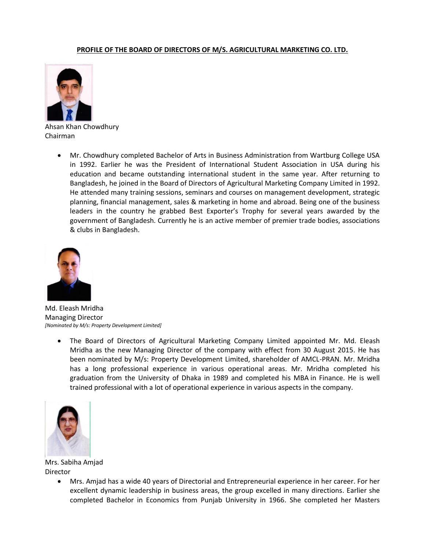## **PROFILE OF THE BOARD OF DIRECTORS OF M/S. AGRICULTURAL MARKETING CO. LTD.**



Ahsan Khan Chowdhury Chairman

 Mr. Chowdhury completed Bachelor of Arts in Business Administration from Wartburg College USA in 1992. Earlier he was the President of International Student Association in USA during his education and became outstanding international student in the same year. After returning to Bangladesh, he joined in the Board of Directors of Agricultural Marketing Company Limited in 1992. He attended many training sessions, seminars and courses on management development, strategic planning, financial management, sales & marketing in home and abroad. Being one of the business leaders in the country he grabbed Best Exporter's Trophy for several years awarded by the government of Bangladesh. Currently he is an active member of premier trade bodies, associations & clubs in Bangladesh.



Md. Eleash Mridha Managing Director *[Nominated by M/s: Property Development Limited]*

 The Board of Directors of Agricultural Marketing Company Limited appointed Mr. Md. Eleash Mridha as the new Managing Director of the company with effect from 30 August 2015. He has been nominated by M/s: Property Development Limited, shareholder of AMCL-PRAN. Mr. Mridha has a long professional experience in various operational areas. Mr. Mridha completed his graduation from the University of Dhaka in 1989 and completed his MBA in Finance. He is well trained professional with a lot of operational experience in various aspects in the company.



Mrs. Sabiha Amjad Director

 Mrs. Amjad has a wide 40 years of Directorial and Entrepreneurial experience in her career. For her excellent dynamic leadership in business areas, the group excelled in many directions. Earlier she completed Bachelor in Economics from Punjab University in 1966. She completed her Masters